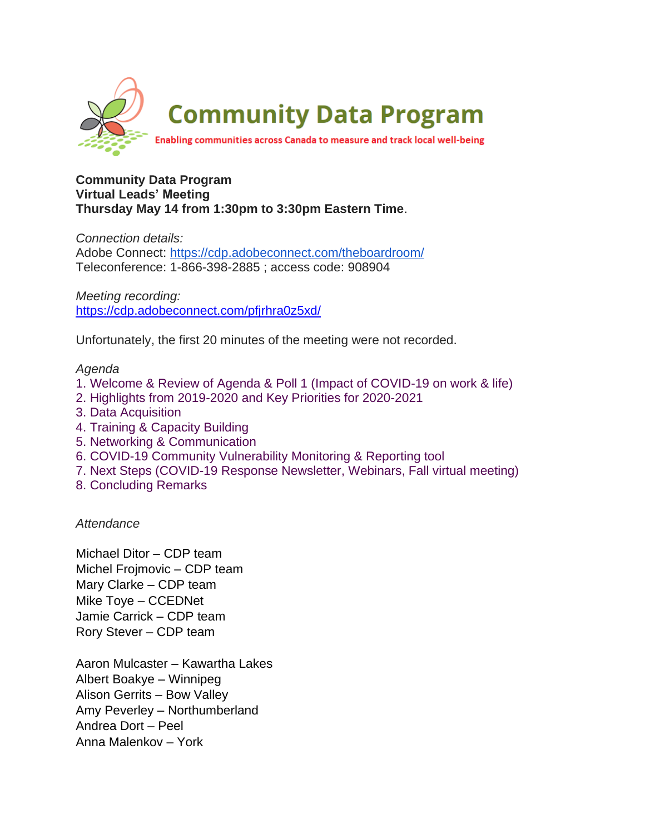

## **Community Data Program Virtual Leads' Meeting Thursday May 14 from 1:30pm to 3:30pm Eastern Time**.

*Connection details:* Adobe Connect: <https://cdp.adobeconnect.com/theboardroom/> Teleconference: 1-866-398-2885 ; access code: 908904

*Meeting recording:* <https://cdp.adobeconnect.com/pfjrhra0z5xd/>

Unfortunately, the first 20 minutes of the meeting were not recorded.

## *Agenda*

- 1. Welcome & Review of Agenda & Poll 1 (Impact of COVID-19 on work & life)
- 2. Highlights from 2019-2020 and Key Priorities for 2020-2021
- 3. Data Acquisition
- 4. Training & Capacity Building
- 5. Networking & Communication
- 6. COVID-19 Community Vulnerability Monitoring & Reporting tool
- 7. Next Steps (COVID-19 Response Newsletter, Webinars, Fall virtual meeting)
- 8. Concluding Remarks

*Attendance*

Michael Ditor – CDP team Michel Frojmovic – CDP team Mary Clarke – CDP team Mike Toye – CCEDNet Jamie Carrick – CDP team Rory Stever – CDP team

Aaron Mulcaster – Kawartha Lakes Albert Boakye – Winnipeg Alison Gerrits – Bow Valley Amy Peverley – Northumberland Andrea Dort – Peel Anna Malenkov – York